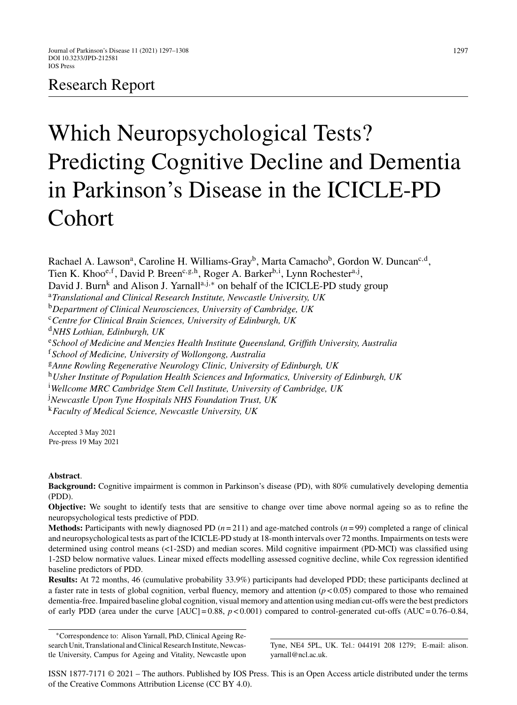# Research Report

# Which Neuropsychological Tests? Predicting Cognitive Decline and Dementia in Parkinson's Disease in the ICICLE-PD Cohort

Rachael A. Lawson<sup>a</sup>, Caroline H. Williams-Gray<sup>b</sup>, Marta Camacho<sup>b</sup>, Gordon W. Duncan<sup>c,d</sup>, Tien K. Khoo<sup>e, f</sup>, David P. Breen<sup>c, g, h</sup>, Roger A. Barker<sup>b, i</sup>, Lynn Rochester<sup>a, j</sup>, David J. Burn<sup>k</sup> and Alison J. Yarnall<sup>a,j,\*</sup> on behalf of the ICICLE-PD study group <sup>a</sup>*Translational and Clinical Research Institute, Newcastle University, UK* <sup>b</sup>*Department of Clinical Neurosciences, University of Cambridge, UK* <sup>c</sup>*Centre for Clinical Brain Sciences, University of Edinburgh, UK* <sup>d</sup>*NHS Lothian, Edinburgh, UK* <sup>e</sup>*School of Medicine and Menzies Health Institute Queensland, Griffith University, Australia* <sup>f</sup>*School of Medicine, University of Wollongong, Australia* <sup>g</sup>*Anne Rowling Regenerative Neurology Clinic, University of Edinburgh, UK* <sup>h</sup>*Usher Institute of Population Health Sciences and Informatics, University of Edinburgh, UK* i *Wellcome MRC Cambridge Stem Cell Institute, University of Cambridge, UK* j *Newcastle Upon Tyne Hospitals NHS Foundation Trust, UK* <sup>k</sup>*Faculty of Medical Science, Newcastle University, UK*

Accepted 3 May 2021 Pre-press 19 May 2021

# **Abstract**.

**Background:** Cognitive impairment is common in Parkinson's disease (PD), with 80% cumulatively developing dementia (PDD).

**Objective:** We sought to identify tests that are sensitive to change over time above normal ageing so as to refine the neuropsychological tests predictive of PDD.

**Methods:** Participants with newly diagnosed PD  $(n=211)$  and age-matched controls  $(n=99)$  completed a range of clinical and neuropsychological tests as part of the ICICLE-PD study at 18-month intervals over 72 months. Impairments on tests were determined using control means (<1-2SD) and median scores. Mild cognitive impairment (PD-MCI) was classified using 1-2SD below normative values. Linear mixed effects modelling assessed cognitive decline, while Cox regression identified baseline predictors of PDD.

**Results:** At 72 months, 46 (cumulative probability 33.9%) participants had developed PDD; these participants declined at a faster rate in tests of global cognition, verbal fluency, memory and attention  $(p < 0.05)$  compared to those who remained dementia-free. Impaired baseline global cognition, visual memory and attention using median cut-offs were the best predictors of early PDD (area under the curve  $[AUC] = 0.88$ ,  $p < 0.001$ ) compared to control-generated cut-offs  $(AUC = 0.76 - 0.84$ ,

∗Correspondence to: Alison Yarnall, PhD, Clinical Ageing Research Unit, Translational and Clinical Research Institute, Newcastle University, Campus for Ageing and Vitality, Newcastle upon

Tyne, NE4 5PL, UK. Tel.: 044191 208 1279; E-mail: [alison.](mailto:alison.{penalty -@M }yarnall@ncl.ac.uk) yarnall@ncl.ac.uk.

ISSN 1877-7171 © 2021 – The authors. Published by IOS Press. This is an Open Access article distributed under the terms of the [Creative Commons Attribution License \(CC BY 4.0\)](https://creativecommons.org/licenses/by/4.0/).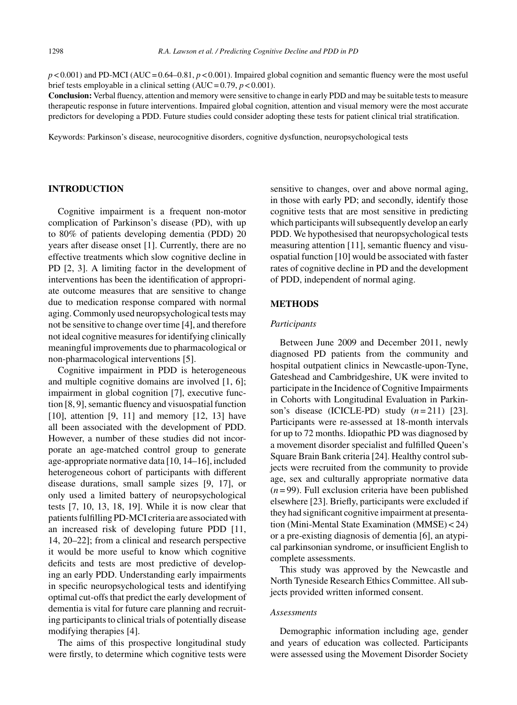$p \le 0.001$  and PD-MCI (AUC = 0.64–0.81,  $p \le 0.001$ ). Impaired global cognition and semantic fluency were the most useful brief tests employable in a clinical setting  $(AUC = 0.79, p < 0.001)$ .

**Conclusion:** Verbal fluency, attention and memory were sensitive to change in early PDD and may be suitable tests to measure therapeutic response in future interventions. Impaired global cognition, attention and visual memory were the most accurate predictors for developing a PDD. Future studies could consider adopting these tests for patient clinical trial stratification.

Keywords: Parkinson's disease, neurocognitive disorders, cognitive dysfunction, neuropsychological tests

# **INTRODUCTION**

Cognitive impairment is a frequent non-motor complication of Parkinson's disease (PD), with up to 80% of patients developing dementia (PDD) 20 years after disease onset [1]. Currently, there are no effective treatments which slow cognitive decline in PD [2, 3]. A limiting factor in the development of interventions has been the identification of appropriate outcome measures that are sensitive to change due to medication response compared with normal aging. Commonly used neuropsychological tests may not be sensitive to change over time [4], and therefore not ideal cognitive measures for identifying clinically meaningful improvements due to pharmacological or non-pharmacological interventions [5].

Cognitive impairment in PDD is heterogeneous and multiple cognitive domains are involved [1, 6]; impairment in global cognition [7], executive function [8, 9], semantic fluency and visuospatial function [10], attention [9, 11] and memory [12, 13] have all been associated with the development of PDD. However, a number of these studies did not incorporate an age-matched control group to generate age-appropriate normative data [10, 14–16], included heterogeneous cohort of participants with different disease durations, small sample sizes [9, 17], or only used a limited battery of neuropsychological tests [7, 10, 13, 18, 19]. While it is now clear that patients fulfilling PD-MCI criteria are associated with an increased risk of developing future PDD [11, 14, 20–22]; from a clinical and research perspective it would be more useful to know which cognitive deficits and tests are most predictive of developing an early PDD. Understanding early impairments in specific neuropsychological tests and identifying optimal cut-offs that predict the early development of dementia is vital for future care planning and recruiting participants to clinical trials of potentially disease modifying therapies [4].

The aims of this prospective longitudinal study were firstly, to determine which cognitive tests were sensitive to changes, over and above normal aging, in those with early PD; and secondly, identify those cognitive tests that are most sensitive in predicting which participants will subsequently develop an early PDD. We hypothesised that neuropsychological tests measuring attention [11], semantic fluency and visuospatial function [10] would be associated with faster rates of cognitive decline in PD and the development of PDD, independent of normal aging.

#### **METHODS**

#### *Participants*

Between June 2009 and December 2011, newly diagnosed PD patients from the community and hospital outpatient clinics in Newcastle-upon-Tyne, Gateshead and Cambridgeshire, UK were invited to participate in the Incidence of Cognitive Impairments in Cohorts with Longitudinal Evaluation in Parkinson's disease (ICICLE-PD) study (*n* = 211) [23]. Participants were re-assessed at 18-month intervals for up to 72 months. Idiopathic PD was diagnosed by a movement disorder specialist and fulfilled Queen's Square Brain Bank criteria [24]. Healthy control subjects were recruited from the community to provide age, sex and culturally appropriate normative data  $(n=99)$ . Full exclusion criteria have been published elsewhere [23]. Briefly, participants were excluded if they had significant cognitive impairment at presentation (Mini-Mental State Examination (MMSE) < 24) or a pre-existing diagnosis of dementia [6], an atypical parkinsonian syndrome, or insufficient English to complete assessments.

This study was approved by the Newcastle and North Tyneside Research Ethics Committee. All subjects provided written informed consent.

#### *Assessments*

Demographic information including age, gender and years of education was collected. Participants were assessed using the Movement Disorder Society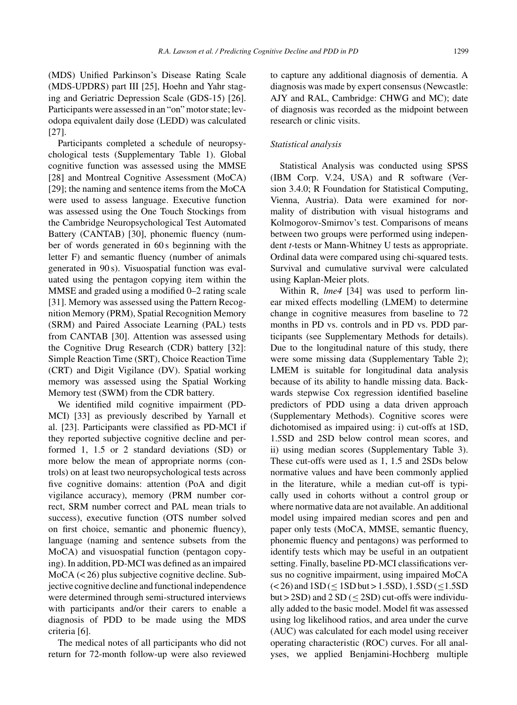(MDS) Unified Parkinson's Disease Rating Scale (MDS-UPDRS) part III [25], Hoehn and Yahr staging and Geriatric Depression Scale (GDS-15) [26]. Participants were assessed in an "on" motor state; levodopa equivalent daily dose (LEDD) was calculated [27].

Participants completed a schedule of neuropsychological tests (Supplementary Table 1). Global cognitive function was assessed using the MMSE [28] and Montreal Cognitive Assessment (MoCA) [29]; the naming and sentence items from the MoCA were used to assess language. Executive function was assessed using the One Touch Stockings from the Cambridge Neuropsychological Test Automated Battery (CANTAB) [30], phonemic fluency (number of words generated in 60 s beginning with the letter F) and semantic fluency (number of animals generated in 90 s). Visuospatial function was evaluated using the pentagon copying item within the MMSE and graded using a modified 0–2 rating scale [31]. Memory was assessed using the Pattern Recognition Memory (PRM), Spatial Recognition Memory (SRM) and Paired Associate Learning (PAL) tests from CANTAB [30]. Attention was assessed using the Cognitive Drug Research (CDR) battery [32]: Simple Reaction Time (SRT), Choice Reaction Time (CRT) and Digit Vigilance (DV). Spatial working memory was assessed using the Spatial Working Memory test (SWM) from the CDR battery.

We identified mild cognitive impairment (PD-MCI) [33] as previously described by Yarnall et al. [23]. Participants were classified as PD-MCI if they reported subjective cognitive decline and performed 1, 1.5 or 2 standard deviations (SD) or more below the mean of appropriate norms (controls) on at least two neuropsychological tests across five cognitive domains: attention (PoA and digit vigilance accuracy), memory (PRM number correct, SRM number correct and PAL mean trials to success), executive function (OTS number solved on first choice, semantic and phonemic fluency), language (naming and sentence subsets from the MoCA) and visuospatial function (pentagon copying). In addition, PD-MCI was defined as an impaired MoCA (< 26) plus subjective cognitive decline. Subjective cognitive decline and functional independence were determined through semi-structured interviews with participants and/or their carers to enable a diagnosis of PDD to be made using the MDS criteria [6].

The medical notes of all participants who did not return for 72-month follow-up were also reviewed to capture any additional diagnosis of dementia. A diagnosis was made by expert consensus (Newcastle: AJY and RAL, Cambridge: CHWG and MC); date of diagnosis was recorded as the midpoint between research or clinic visits.

### *Statistical analysis*

Statistical Analysis was conducted using SPSS (IBM Corp. V.24, USA) and R software (Version 3.4.0; R Foundation for Statistical Computing, Vienna, Austria). Data were examined for normality of distribution with visual histograms and Kolmogorov-Smirnov's test. Comparisons of means between two groups were performed using independent *t*-tests or Mann-Whitney U tests as appropriate. Ordinal data were compared using chi-squared tests. Survival and cumulative survival were calculated using Kaplan-Meier plots.

Within R, *lme4* [34] was used to perform linear mixed effects modelling (LMEM) to determine change in cognitive measures from baseline to 72 months in PD vs. controls and in PD vs. PDD participants (see Supplementary Methods for details). Due to the longitudinal nature of this study, there were some missing data (Supplementary Table 2); LMEM is suitable for longitudinal data analysis because of its ability to handle missing data. Backwards stepwise Cox regression identified baseline predictors of PDD using a data driven approach (Supplementary Methods). Cognitive scores were dichotomised as impaired using: i) cut-offs at 1SD, 1.5SD and 2SD below control mean scores, and ii) using median scores (Supplementary Table 3). These cut-offs were used as 1, 1.5 and 2SDs below normative values and have been commonly applied in the literature, while a median cut-off is typically used in cohorts without a control group or where normative data are not available. An additional model using impaired median scores and pen and paper only tests (MoCA, MMSE, semantic fluency, phonemic fluency and pentagons) was performed to identify tests which may be useful in an outpatient setting. Finally, baseline PD-MCI classifications versus no cognitive impairment, using impaired MoCA  $(< 26$ ) and  $1SD (< 1SD$  but > 1.5SD), 1.5SD (<1.5SD but >  $2SD$ ) and  $2SD$  (<  $2SD$ ) cut-offs were individually added to the basic model. Model fit was assessed using log likelihood ratios, and area under the curve (AUC) was calculated for each model using receiver operating characteristic (ROC) curves. For all analyses, we applied Benjamini-Hochberg multiple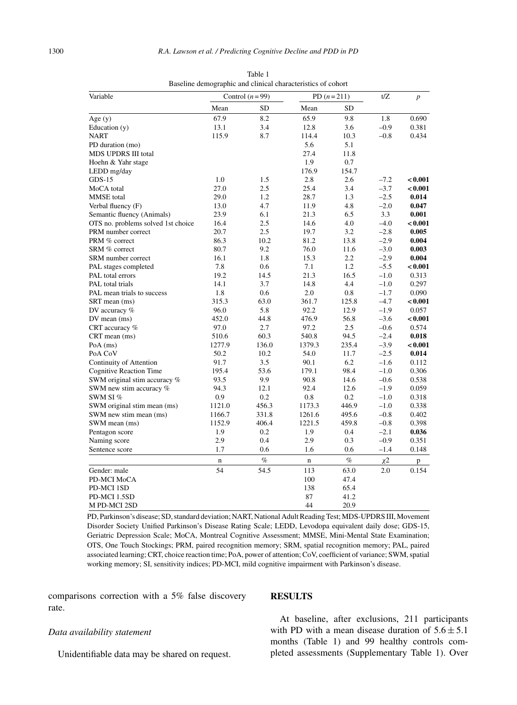| Variable                           |             | Control $(n=99)$ |             | PD $(n=211)$ | t/Z    | $\overline{p}$ |  |
|------------------------------------|-------------|------------------|-------------|--------------|--------|----------------|--|
|                                    | Mean        | <b>SD</b>        | Mean        | SD           |        |                |  |
| Age $(y)$                          | 67.9        | 8.2              | 65.9        | 9.8          | 1.8    | 0.690          |  |
| Education (y)                      | 13.1        | 3.4              | 12.8        | 3.6          | $-0.9$ | 0.381          |  |
| <b>NART</b>                        | 115.9       | 8.7              | 114.4       | 10.3         | $-0.8$ | 0.434          |  |
| PD duration (mo)                   |             |                  | 5.6         | 5.1          |        |                |  |
| MDS UPDRS III total                |             |                  | 27.4        | 11.8         |        |                |  |
| Hoehn & Yahr stage                 |             |                  | 1.9         | 0.7          |        |                |  |
| LEDD mg/day                        |             |                  | 176.9       | 154.7        |        |                |  |
| $GDS-15$                           | 1.0         | 1.5              | 2.8         | 2.6          | $-7.2$ | < 0.001        |  |
| MoCA total                         | 27.0        | 2.5              | 25.4        | 3.4          | $-3.7$ | < 0.001        |  |
| <b>MMSE</b> total                  | 29.0        | 1.2              | 28.7        | 1.3          | $-2.5$ | 0.014          |  |
| Verbal fluency (F)                 | 13.0        | 4.7              | 11.9        | 4.8          | $-2.0$ | 0.047          |  |
| Semantic fluency (Animals)         | 23.9        | 6.1              | 21.3        | 6.5          | 3.3    | 0.001          |  |
| OTS no. problems solved 1st choice | 16.4        | 2.5              | 14.6        | 4.0          | $-4.0$ | < 0.001        |  |
| PRM number correct                 | 20.7        | 2.5              | 19.7        | 3.2          | $-2.8$ | 0.005          |  |
| PRM % correct                      | 86.3        | 10.2             | 81.2        | 13.8         | $-2.9$ | 0.004          |  |
| SRM % correct                      | 80.7        | 9.2              | 76.0        | 11.6         | $-3.0$ | 0.003          |  |
| SRM number correct                 | 16.1        | 1.8              | 15.3        | 2.2          | $-2.9$ | 0.004          |  |
| PAL stages completed               | 7.8         | 0.6              | 7.1         | 1.2          | $-5.5$ | < 0.001        |  |
| PAL total errors                   | 19.2        | 14.5             | 21.3        | 16.5         | $-1.0$ | 0.313          |  |
| PAL total trials                   | 14.1        | 3.7              | 14.8        | 4.4          | $-1.0$ | 0.297          |  |
| PAL mean trials to success         | 1.8         | 0.6              | 2.0         | 0.8          | $-1.7$ | 0.090          |  |
| SRT mean (ms)                      | 315.3       | 63.0             | 361.7       | 125.8        | $-4.7$ | < 0.001        |  |
| DV accuracy $%$                    | 96.0        | 5.8              | 92.2        | 12.9         | $-1.9$ | 0.057          |  |
| $DV$ mean $(ms)$                   | 452.0       | 44.8             | 476.9       | 56.8         | $-3.6$ | < 0.001        |  |
| CRT accuracy $%$                   | 97.0        | 2.7              | 97.2        | 2.5          | $-0.6$ | 0.574          |  |
| $CRT$ mean $(ms)$                  | 510.6       | 60.3             | 540.8       | 94.5         | $-2.4$ | 0.018          |  |
| Po $A$ (ms)                        | 1277.9      | 136.0            | 1379.3      | 235.4        | $-3.9$ | < 0.001        |  |
| PoA CoV                            | 50.2        | 10.2             | 54.0        | 11.7         | $-2.5$ | 0.014          |  |
| Continuity of Attention            | 91.7        | 3.5              | 90.1        | 6.2          | $-1.6$ | 0.112          |  |
| <b>Cognitive Reaction Time</b>     | 195.4       | 53.6             | 179.1       | 98.4         | $-1.0$ | 0.306          |  |
| SWM original stim accuracy %       | 93.5        | 9.9              | 90.8        | 14.6         | $-0.6$ | 0.538          |  |
| SWM new stim accuracy %            | 94.3        | 12.1             | 92.4        | 12.6         | $-1.9$ | 0.059          |  |
| SWM SI %                           | 0.9         | 0.2              | 0.8         | 0.2          | $-1.0$ | 0.318          |  |
| SWM original stim mean (ms)        | 1121.0      | 456.3            | 1173.3      | 446.9        | $-1.0$ | 0.338          |  |
| SWM new stim mean (ms)             | 1166.7      | 331.8            | 1261.6      | 495.6        | $-0.8$ | 0.402          |  |
| SWM mean (ms)                      | 1152.9      | 406.4            | 1221.5      | 459.8        | $-0.8$ | 0.398          |  |
| Pentagon score                     | 1.9         | 0.2              | 1.9         | 0.4          | $-2.1$ | 0.036          |  |
| Naming score                       | 2.9         | 0.4              | 2.9         | 0.3          | $-0.9$ | 0.351          |  |
| Sentence score                     | 1.7         | 0.6              | 1.6         | 0.6          | $-1.4$ | 0.148          |  |
|                                    | $\mathbf n$ | $\%$             | $\mathbf n$ | $\%$         | $x^2$  | p              |  |
| Gender: male                       | 54          | 54.5             | 113         | 63.0         | 2.0    | 0.154          |  |
| PD-MCI MoCA                        |             |                  | 100         | 47.4         |        |                |  |
| PD-MCI 1SD                         |             |                  | 138         | 65.4         |        |                |  |
| PD-MCI 1.5SD                       |             |                  | 87          | 41.2         |        |                |  |
| M PD-MCI 2SD                       |             |                  | 44          | 20.9         |        |                |  |

Table 1 Baseline demographic and clinical characteristics of cohort

PD, Parkinson's disease; SD, standard deviation; NART, National Adult Reading Test; MDS-UPDRS III, Movement Disorder Society Unified Parkinson's Disease Rating Scale; LEDD, Levodopa equivalent daily dose; GDS-15, Geriatric Depression Scale; MoCA, Montreal Cognitive Assessment; MMSE, Mini-Mental State Examination; OTS, One Touch Stockings; PRM, paired recognition memory; SRM, spatial recognition memory; PAL, paired associated learning; CRT, choice reaction time; PoA, power of attention; CoV, coefficient of variance; SWM, spatial working memory; SI, sensitivity indices; PD-MCI, mild cognitive impairment with Parkinson's disease.

comparisons correction with a 5% false discovery rate.

#### **RESULTS**

# *Data availability statement*

Unidentifiable data may be shared on request.

At baseline, after exclusions, 211 participants with PD with a mean disease duration of  $5.6 \pm 5.1$ months (Table 1) and 99 healthy controls completed assessments (Supplementary Table 1). Over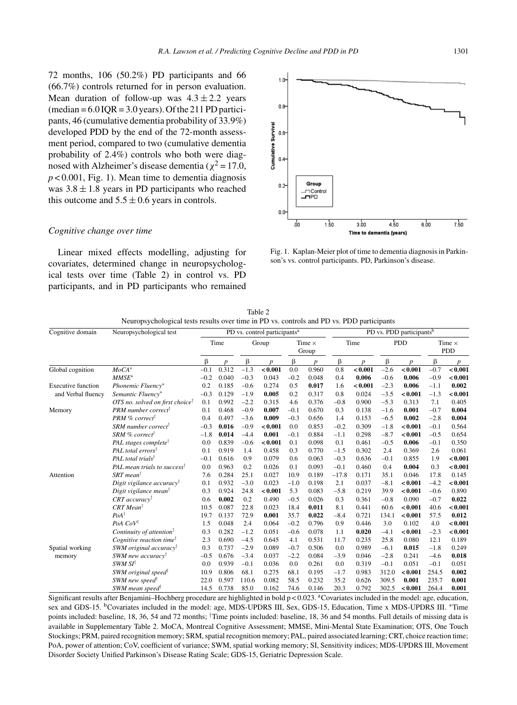72 months, 106 (50.2%) PD participants and 66 (66.7%) controls returned for in person evaluation. Mean duration of follow-up was  $4.3 \pm 2.2$  years  $(median = 6.0 IQR = 3.0 years)$ . Of the 211 PD participants, 46 (cumulative dementia probability of 33.9%) developed PDD by the end of the 72-month assessment period, compared to two (cumulative dementia probability of 2.4%) controls who both were diagnosed with Alzheimer's disease dementia ( $\chi^2$  = 17.0,  $p < 0.001$ , Fig. 1). Mean time to dementia diagnosis was  $3.8 \pm 1.8$  years in PD participants who reached this outcome and  $5.5 \pm 0.6$  years in controls.

#### *Cognitive change over time*

Linear mixed effects modelling, adjusting for covariates, determined change in neuropsychological tests over time (Table 2) in control vs. PD participants, and in PD participants who remained



Fig. 1. Kaplan-Meier plot of time to dementia diagnosis in Parkinson's vs. control participants. PD, Parkinson's disease.

| Cognitive domain          | Neuropsychological test                     | PD vs. control participants <sup>a</sup> |       |        |                  |                        |                  |         | PD vs. PDD participants <sup>b</sup> |            |                  |                             |         |  |
|---------------------------|---------------------------------------------|------------------------------------------|-------|--------|------------------|------------------------|------------------|---------|--------------------------------------|------------|------------------|-----------------------------|---------|--|
|                           |                                             | Time                                     |       | Group  |                  | Time $\times$<br>Group |                  | Time    |                                      | <b>PDD</b> |                  | Time $\times$<br><b>PDD</b> |         |  |
|                           |                                             | β                                        | p     | β      | $\boldsymbol{p}$ | β                      | $\boldsymbol{p}$ | β       | p                                    | β          | $\boldsymbol{p}$ | β                           | p       |  |
| Global cognition          | $MoCA*$                                     | $-0.1$                                   | 0.312 | $-1.3$ | < 0.001          | 0.0                    | 0.960            | 0.8     | < 0.001                              | $-2.6$     | < 0.001          | $-0.7$                      | < 0.001 |  |
|                           | $MMSE^*$                                    | $-0.2$                                   | 0.040 | $-0.3$ | 0.043            | $-0.2$                 | 0.048            | 0.4     | 0.006                                | $-0.6$     | 0.006            | $-0.9$                      | < 0.001 |  |
| Executive function        | Phonemic Fluency*                           | 0.2                                      | 0.185 | $-0.6$ | 0.274            | 0.5                    | 0.017            | 1.6     | < 0.001                              | $-2.3$     | 0.006            | $-1.1$                      | 0.002   |  |
| and Verbal fluency        | Semantic Fluency*                           | $-0.3$                                   | 0.129 | $-1.9$ | 0.005            | 0.2                    | 0.317            | 0.8     | 0.024                                | $-3.5$     | < 0.001          | $-1.3$                      | < 0.001 |  |
|                           | OTS no. solved on first choice <sup>†</sup> | 0.1                                      | 0.992 | $-2.2$ | 0.315            | 4.6                    | 0.376            | $-0.8$  | 0.900                                | $-5.3$     | 0.313            | 7.1                         | 0.405   |  |
| Memory                    | <b>PRM</b> number correct                   | 0.1                                      | 0.468 | $-0.9$ | 0.007            | $-0.1$                 | 0.670            | 0.3     | 0.138                                | $-1.6$     | 0.001            | $-0.7$                      | 0.004   |  |
|                           | PRM % correct                               | 0.4                                      | 0.497 | $-3.6$ | 0.009            | $-0.3$                 | 0.656            | 1.4     | 0.153                                | $-6.5$     | 0.002            | $-2.8$                      | 0.004   |  |
|                           | SRM number correct                          | $-0.3$                                   | 0.016 | $-0.9$ | < 0.001          | 0.0                    | 0.853            | $-0.2$  | 0.309                                | $-1.8$     | < 0.001          | $-0.1$                      | 0.564   |  |
|                           | SRM % correct                               | $-1.8$                                   | 0.014 | $-4.4$ | 0.001            | $-0.1$                 | 0.884            | $-1.1$  | 0.298                                | $-8.7$     | < 0.001          | $-0.5$                      | 0.654   |  |
|                           | PAL stages complete <sup>†</sup>            | 0.0                                      | 0.839 | $-0.6$ | < 0.001          | 0.1                    | 0.098            | 0.1     | 0.461                                | $-0.5$     | 0.006            | $-0.1$                      | 0.350   |  |
|                           | PAL total errors <sup>†</sup>               | 0.1                                      | 0.919 | 1.4    | 0.458            | 0.3                    | 0.770            | $-1.5$  | 0.302                                | 2.4        | 0.369            | 2.6                         | 0.061   |  |
|                           | PAL total trials <sup>†</sup>               | $-0.1$                                   | 0.616 | 0.9    | 0.079            | 0.6                    | 0.063            | $-0.3$  | 0.636                                | $-0.1$     | 0.855            | 1.9                         | < 0.001 |  |
|                           | PAL mean trials to success <sup>†</sup>     | 0.0                                      | 0.963 | 0.2    | 0.026            | 0.1                    | 0.093            | $-0.1$  | 0.460                                | 0.4        | 0.004            | 0.3                         | < 0.001 |  |
| Attention                 | $SRT$ mean <sup>†</sup>                     | 7.6                                      | 0.284 | 25.1   | 0.027            | 10.9                   | 0.189            | $-17.8$ | 0.171                                | 35.1       | 0.046            | 17.8                        | 0.145   |  |
|                           | Digit vigilance accuracy <sup>†</sup>       | 0.1                                      | 0.932 | $-3.0$ | 0.023            | $-1.0$                 | 0.198            | 2.1     | 0.037                                | $-8.1$     | < 0.001          | $-4.2$                      | < 0.001 |  |
|                           | Digit vigilance mean <sup>†</sup>           | 0.3                                      | 0.924 | 24.8   | < 0.001          | 5.3                    | 0.083            | $-5.8$  | 0.219                                | 39.9       | < 0.001          | $-0.6$                      | 0.890   |  |
|                           | CRT accuracy <sup>†</sup>                   | 0.6                                      | 0.002 | 0.2    | 0.490            | $-0.5$                 | 0.026            | 0.3     | 0.361                                | $-0.8$     | 0.090            | $-0.7$                      | 0.022   |  |
|                           | $CRT Mean^{\dagger}$                        | 10.5                                     | 0.087 | 22.8   | 0.023            | 18.4                   | 0.011            | 8.1     | 0.441                                | 60.6       | < 0.001          | 40.6                        | < 0.001 |  |
|                           | $PoA^{\dagger}$                             | 19.7                                     | 0.137 | 72.9   | 0.001            | 35.7                   | 0.022            | $-8.4$  | 0.721                                | 134.1      | < 0.001          | 57.5                        | 0.012   |  |
|                           | PoA CoV <sup>†</sup>                        | 1.5                                      | 0.048 | 2.4    | 0.064            | $-0.2$                 | 0.796            | 0.9     | 0.446                                | 3.0        | 0.102            | 4.0                         | < 0.001 |  |
|                           | Continuity of attention <sup>†</sup>        | 0.3                                      | 0.282 | $-1.2$ | 0.051            | $-0.6$                 | 0.078            | 1.1     | 0.020                                | $-4.1$     | < 0.001          | $-2.3$                      | < 0.001 |  |
|                           | Cognitive reaction time <sup>†</sup>        | 2.3                                      | 0.690 | $-4.5$ | 0.645            | 4.1                    | 0.531            | 11.7    | 0.235                                | 25.8       | 0.080            | 12.1                        | 0.189   |  |
| Spatial working<br>memory | SWM original accuracy <sup>†</sup>          | 0.3                                      | 0.737 | $-2.9$ | 0.089            | $-0.7$                 | 0.506            | 0.0     | 0.989                                | $-6.1$     | 0.015            | $-1.8$                      | 0.249   |  |
|                           | SWM new accuracy <sup>†</sup>               | $-0.5$                                   | 0.676 | $-3.4$ | 0.037            | $-2.2$                 | 0.084            | $-3.9$  | 0.046                                | $-2.8$     | 0.241            | $-4.6$                      | 0.018   |  |
|                           | SWM SI <sup>t</sup>                         | 0.0                                      | 0.939 | $-0.1$ | 0.036            | 0.0                    | 0.261            | 0.0     | 0.319                                | $-0.1$     | 0.051            | $-0.1$                      | 0.051   |  |
|                           | SWM original speed <sup>†</sup>             | 10.9                                     | 0.806 | 68.1   | 0.275            | 68.1                   | 0.195            | $-1.7$  | 0.983                                | 312.0      | < 0.001          | 254.5                       | 0.002   |  |
|                           | SWM new speed <sup>†</sup>                  | 22.0                                     | 0.597 | 110.6  | 0.082            | 58.5                   | 0.232            | 35.2    | 0.626                                | 309.5      | 0.001            | 235.7                       | 0.001   |  |
|                           | SWM mean speed                              | 14.5                                     | 0.738 | 85.0   | 0.162            | 74.6                   | 0.146            | 20.3    | 0.792                                | 302.5      | < 0.001          | 264.4                       | 0.001   |  |

Table 2 Neuropsychological tests results over time in PD vs. controls and PD vs. PDD participants

Significant results after Benjamini–Hochberg procedure are highlighted in bold  $p < 0.023$ . <sup>a</sup>Covariates included in the model: age, education, sex and GDS-15. <sup>b</sup>Covariates included in the model: age, MDS-UPDRS III, Sex, GDS-15, Education, Time x MDS-UPDRS III. \*Time points included: baseline, 18, 36, 54 and 72 months; †Time points included: baseline, 18, 36 and 54 months. Full details of missing data is available in Supplementary Table 2. MoCA, Montreal Cognitive Assessment; MMSE, Mini-Mental State Examination; OTS, One Touch Stockings; PRM, paired recognition memory; SRM, spatial recognition memory; PAL, paired associated learning; CRT, choice reaction time; PoA, power of attention; CoV, coefficient of variance; SWM, spatial working memory; SI, Sensitivity indices; MDS-UPDRS III, Movement Disorder Society Unified Parkinson's Disease Rating Scale; GDS-15, Geriatric Depression Scale.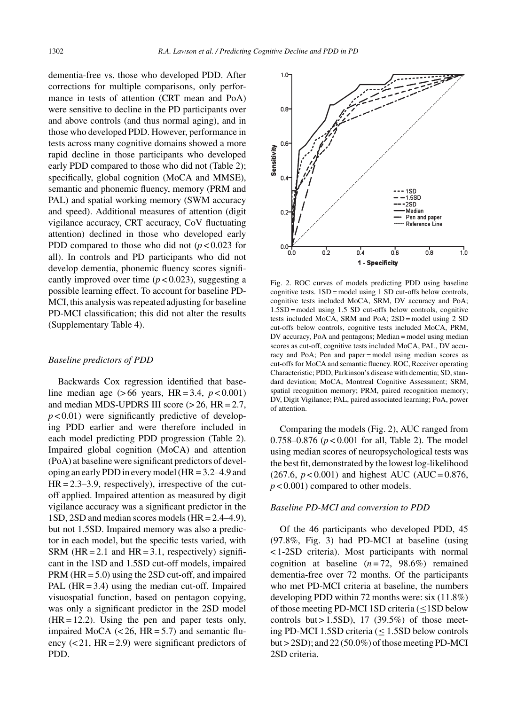dementia-free vs. those who developed PDD. After corrections for multiple comparisons, only performance in tests of attention (CRT mean and PoA) were sensitive to decline in the PD participants over and above controls (and thus normal aging), and in those who developed PDD. However, performance in tests across many cognitive domains showed a more rapid decline in those participants who developed early PDD compared to those who did not (Table 2); specifically, global cognition (MoCA and MMSE), semantic and phonemic fluency, memory (PRM and PAL) and spatial working memory (SWM accuracy and speed). Additional measures of attention (digit vigilance accuracy, CRT accuracy, CoV fluctuating attention) declined in those who developed early PDD compared to those who did not  $(p < 0.023$  for all). In controls and PD participants who did not develop dementia, phonemic fluency scores significantly improved over time  $(p < 0.023)$ , suggesting a possible learning effect. To account for baseline PD-MCI, this analysis was repeated adjusting for baseline PD-MCI classification; this did not alter the results (Supplementary Table 4).

#### *Baseline predictors of PDD*

Backwards Cox regression identified that baseline median age  $(> 66 \text{ years}, \text{ HR} = 3.4, \text{ } p < 0.001)$ and median MDS-UPDRS III score  $(> 26, HR = 2.7,$  $p$  < 0.01) were significantly predictive of developing PDD earlier and were therefore included in each model predicting PDD progression (Table 2). Impaired global cognition (MoCA) and attention (PoA) at baseline were significant predictors of developing an early PDD in every model (HR = 3.2–4.9 and  $HR = 2.3 - 3.9$ , respectively), irrespective of the cutoff applied. Impaired attention as measured by digit vigilance accuracy was a significant predictor in the 1SD, 2SD and median scores models (HR = 2.4–4.9), but not 1.5SD. Impaired memory was also a predictor in each model, but the specific tests varied, with SRM (HR = 2.1 and HR = 3.1, respectively) significant in the 1SD and 1.5SD cut-off models, impaired PRM (HR = 5.0) using the 2SD cut-off, and impaired PAL  $(HR = 3.4)$  using the median cut-off. Impaired visuospatial function, based on pentagon copying, was only a significant predictor in the 2SD model  $(HR = 12.2)$ . Using the pen and paper tests only, impaired MoCA  $(< 26$ , HR = 5.7) and semantic fluency  $( $21$ , HR = 2.9$ ) were significant predictors of PDD.



Fig. 2. ROC curves of models predicting PDD using baseline cognitive tests. 1SD = model using 1 SD cut-offs below controls, cognitive tests included MoCA, SRM, DV accuracy and PoA; 1.5SD = model using 1.5 SD cut-offs below controls, cognitive tests included MoCA, SRM and PoA; 2SD = model using 2 SD cut-offs below controls, cognitive tests included MoCA, PRM, DV accuracy, PoA and pentagons; Median = model using median scores as cut-off, cognitive tests included MoCA, PAL, DV accuracy and PoA; Pen and paper = model using median scores as cut-offs for MoCA and semantic fluency. ROC, Receiver operating Characteristic; PDD, Parkinson's disease with dementia; SD, standard deviation; MoCA, Montreal Cognitive Assessment; SRM, spatial recognition memory; PRM, paired recognition memory; DV, Digit Vigilance; PAL, paired associated learning; PoA, power of attention.

Comparing the models (Fig. 2), AUC ranged from 0.758–0.876 (*p* < 0.001 for all, Table 2). The model using median scores of neuropsychological tests was the best fit, demonstrated by the lowest log-likelihood  $(267.6, p < 0.001)$  and highest AUC (AUC = 0.876, *p* < 0.001) compared to other models.

# *Baseline PD-MCI and conversion to PDD*

Of the 46 participants who developed PDD, 45 (97.8%, Fig. 3) had PD-MCI at baseline (using < 1-2SD criteria). Most participants with normal cognition at baseline  $(n=72, 98.6\%)$  remained dementia-free over 72 months. Of the participants who met PD-MCI criteria at baseline, the numbers developing PDD within 72 months were: six (11.8%) of those meeting PD-MCI 1SD criteria  $(\leq 1SD$  below controls but  $> 1.5SD$ , 17 (39.5%) of those meeting PD-MCI 1.5SD criteria (≤ 1.5SD below controls but > 2SD); and 22 (50.0%) of those meeting PD-MCI 2SD criteria.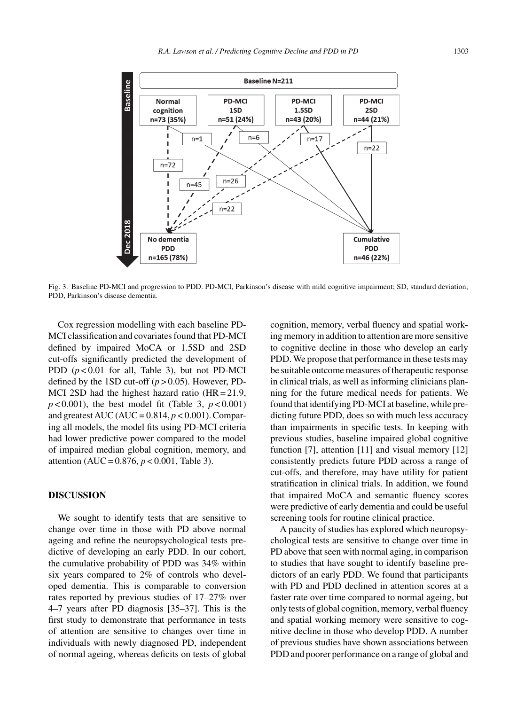

Fig. 3. Baseline PD-MCI and progression to PDD. PD-MCI, Parkinson's disease with mild cognitive impairment; SD, standard deviation; PDD, Parkinson's disease dementia.

Cox regression modelling with each baseline PD-MCI classification and covariates found that PD-MCI defined by impaired MoCA or 1.5SD and 2SD cut-offs significantly predicted the development of PDD  $(p<0.01$  for all, Table 3), but not PD-MCI defined by the 1SD cut-off  $(p > 0.05)$ . However, PD-MCI 2SD had the highest hazard ratio  $(HR = 21.9)$ ,  $p < 0.001$ ), the best model fit (Table 3,  $p < 0.001$ ) and greatest AUC (AUC =  $0.814$ ,  $p < 0.001$ ). Comparing all models, the model fits using PD-MCI criteria had lower predictive power compared to the model of impaired median global cognition, memory, and attention (AUC = 0.876, *p* < 0.001, Table 3).

#### **DISCUSSION**

We sought to identify tests that are sensitive to change over time in those with PD above normal ageing and refine the neuropsychological tests predictive of developing an early PDD. In our cohort, the cumulative probability of PDD was 34% within six years compared to 2% of controls who developed dementia. This is comparable to conversion rates reported by previous studies of 17–27% over 4–7 years after PD diagnosis [35–37]. This is the first study to demonstrate that performance in tests of attention are sensitive to changes over time in individuals with newly diagnosed PD, independent of normal ageing, whereas deficits on tests of global cognition, memory, verbal fluency and spatial working memory in addition to attention are more sensitive to cognitive decline in those who develop an early PDD. We propose that performance in these tests may be suitable outcome measures of therapeutic response in clinical trials, as well as informing clinicians planning for the future medical needs for patients. We found that identifying PD-MCI at baseline, while predicting future PDD, does so with much less accuracy than impairments in specific tests. In keeping with previous studies, baseline impaired global cognitive function [7], attention [11] and visual memory [12] consistently predicts future PDD across a range of cut-offs, and therefore, may have utility for patient stratification in clinical trials. In addition, we found that impaired MoCA and semantic fluency scores were predictive of early dementia and could be useful screening tools for routine clinical practice.

A paucity of studies has explored which neuropsychological tests are sensitive to change over time in PD above that seen with normal aging, in comparison to studies that have sought to identify baseline predictors of an early PDD. We found that participants with PD and PDD declined in attention scores at a faster rate over time compared to normal ageing, but only tests of global cognition, memory, verbal fluency and spatial working memory were sensitive to cognitive decline in those who develop PDD. A number of previous studies have shown associations between PDD and poorer performance on a range of global and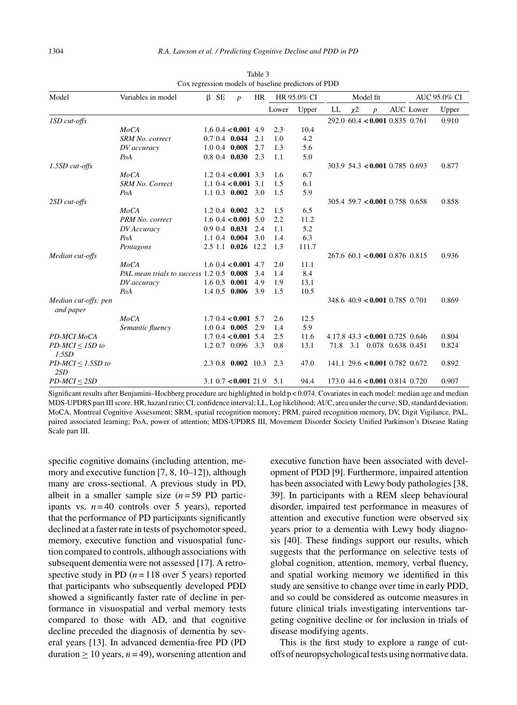| Model                             | Variables in model                       |  | $\beta$ SE | $\boldsymbol{p}$          | HR  | HR 95.0% CI |       | Model fit |       |                                   |  | AUC 95.0% CI |       |
|-----------------------------------|------------------------------------------|--|------------|---------------------------|-----|-------------|-------|-----------|-------|-----------------------------------|--|--------------|-------|
|                                   |                                          |  |            |                           |     | Lower       | Upper | LL        | $x^2$ | $\boldsymbol{p}$                  |  | AUC Lower    | Upper |
| 1SD cut-offs                      |                                          |  |            |                           |     |             |       |           |       | 292.060.4 < 0.0010.8350.761       |  |              | 0.910 |
|                                   | MoCA                                     |  |            | $1.6$ 0.4 < 0.001 4.9     |     | 2.3         | 10.4  |           |       |                                   |  |              |       |
|                                   | SRM No. correct                          |  |            | $0.70.4$ 0.044            | 2.1 | 1.0         | 4.2   |           |       |                                   |  |              |       |
|                                   | DV accuracy                              |  |            | $1.0 \t0.4 \t0.008$       | 2.7 | 1.3         | 5.6   |           |       |                                   |  |              |       |
|                                   | PoA                                      |  |            | $0.8$ 0.4 $0.030$ 2.3     |     | 1.1         | 5.0   |           |       |                                   |  |              |       |
| 1.5SD cut-offs                    |                                          |  |            |                           |     |             |       |           |       | $303.9$ 54.3 < 0.001 0.785 0.693  |  |              | 0.877 |
|                                   | MoCA                                     |  |            | 1.2 0.4 $< 0.001$ 3.3     |     | 1.6         | 6.7   |           |       |                                   |  |              |       |
|                                   | <b>SRM No. Correct</b>                   |  |            | 1.1 0.4 $< 0.001$ 3.1     |     | 1.5         | 6.1   |           |       |                                   |  |              |       |
|                                   | PoA                                      |  |            | $1.1 \t0.3 \t0.002 \t3.0$ |     | 1.5         | 5.9   |           |       |                                   |  |              |       |
| 2SD cut-offs                      |                                          |  |            |                           |     |             |       |           |       | $305.4$ 59.7 < 0.001 0.758 0.658  |  |              | 0.858 |
|                                   | MoCA                                     |  |            | $1.2 \t0.4 \t0.002$       | 3.2 | 1.5         | 6.5   |           |       |                                   |  |              |       |
|                                   | PRM No. correct                          |  |            | $1.6$ 0.4 < 0.001 5.0     |     | 2.2         | 11.2  |           |       |                                   |  |              |       |
|                                   | DV Accuracy                              |  |            | $0.9$ 0.4 $0.031$         | 2.4 | 1.1         | 5.2   |           |       |                                   |  |              |       |
|                                   | PoA                                      |  |            | $1.1 \t0.4 \t0.004$       | 3.0 | 1.4         | 6.3   |           |       |                                   |  |              |       |
|                                   | Pentagons                                |  |            | 2.5 1.1 0.026 12.2        |     | 1.3         | 111.7 |           |       |                                   |  |              |       |
| Median cut-offs                   |                                          |  |            |                           |     |             |       |           |       | $267.6$ 60.1 < 0.001 0.876 0.815  |  |              | 0.936 |
|                                   | MoCA                                     |  |            | $1.6 \t0.4 < 0.001 \t4.7$ |     | 2.0         | 11.1  |           |       |                                   |  |              |       |
|                                   | PAL mean trials to success 1.2 0.5 0.008 |  |            |                           | 3.4 | 1.4         | 8.4   |           |       |                                   |  |              |       |
|                                   | DV accuracy                              |  |            | $1.60.5$ 0.001            | 4.9 | 1.9         | 13.1  |           |       |                                   |  |              |       |
|                                   | PoA                                      |  |            | $1.4 \t0.5 \t0.006$       | 3.9 | 1.5         | 10.5  |           |       |                                   |  |              |       |
| Median cut-offs: pen<br>and paper |                                          |  |            |                           |     |             |       |           |       | 348.6 40.9 < 0.001 0.785 0.701    |  |              | 0.869 |
|                                   | MoCA                                     |  |            | $1.7 \t0.4 < 0.001 \t5.7$ |     | 2.6         | 12.5  |           |       |                                   |  |              |       |
|                                   | Semantic fluency                         |  |            | $1.0 \t0.4 \t0.005$       | 2.9 | 1.4         | 5.9   |           |       |                                   |  |              |       |
| PD-MCI MoCA                       |                                          |  |            | $1.7 \t0.4 < 0.001 \t5.4$ |     | 2.5         | 11.6  |           |       | $4.17.8$ 43.3 < 0.001 0.725 0.646 |  |              | 0.804 |
| $PD-MCI \leq 1SD$ to<br>1.5SD     |                                          |  |            | 1.2 0.7 0.096 3.3         |     | 0.8         | 13.1  |           |       | 71.8 3.1 0.078 0.638 0.451        |  |              | 0.824 |
| $PD-MCI \leq 1.5SD$ to<br>2SD     |                                          |  |            | 2.3 0.8 0.002 10.3        |     | 2.3         | 47.0  |           |       | $141.1$ 29.6 < 0.001 0.782 0.672  |  |              | 0.892 |
| $PD-MCI \leq 2SD$                 |                                          |  |            | $3.1\;0.7<$ 0.001 21.9    |     | 5.1         | 94.4  |           |       | $173.0$ 44.6 < 0.001 0.814 0.720  |  |              | 0.907 |

Table 3 Cox regression models of baseline predictors of PDD

Significant results after Benjamini–Hochberg procedure are highlighted in bold p < 0.074. Covariates in each model: median age and median MDS-UPDRS part III score. HR, hazard ratio; CI, confidence interval; LL, Log likelihood; AUC, area under the curve; SD, standard deviation; MoCA, Montreal Cognitive Assessment; SRM, spatial recognition memory; PRM, paired recognition memory, DV, Digit Vigilance, PAL, paired associated learning; PoA, power of attention; MDS-UPDRS III, Movement Disorder Society Unified Parkinson's Disease Rating Scale part III.

specific cognitive domains (including attention, memory and executive function [7, 8, 10–12]), although many are cross-sectional. A previous study in PD, albeit in a smaller sample size  $(n=59 \text{ PD} \text{ partic-}$ ipants vs.  $n = 40$  controls over 5 years), reported that the performance of PD participants significantly declined at a faster rate in tests of psychomotor speed, memory, executive function and visuospatial function compared to controls, although associations with subsequent dementia were not assessed [17]. A retrospective study in PD  $(n = 118$  over 5 years) reported that participants who subsequently developed PDD showed a significantly faster rate of decline in performance in visuospatial and verbal memory tests compared to those with AD, and that cognitive decline preceded the diagnosis of dementia by several years [13]. In advanced dementia-free PD (PD duration ≥ 10 years,  $n = 49$ ), worsening attention and executive function have been associated with development of PDD [9]. Furthermore, impaired attention has been associated with Lewy body pathologies [38, 39]. In participants with a REM sleep behavioural disorder, impaired test performance in measures of attention and executive function were observed six years prior to a dementia with Lewy body diagnosis [40]. These findings support our results, which suggests that the performance on selective tests of global cognition, attention, memory, verbal fluency, and spatial working memory we identified in this study are sensitive to change over time in early PDD, and so could be considered as outcome measures in future clinical trials investigating interventions targeting cognitive decline or for inclusion in trials of disease modifying agents.

This is the first study to explore a range of cutoffs of neuropsychological tests using normative data.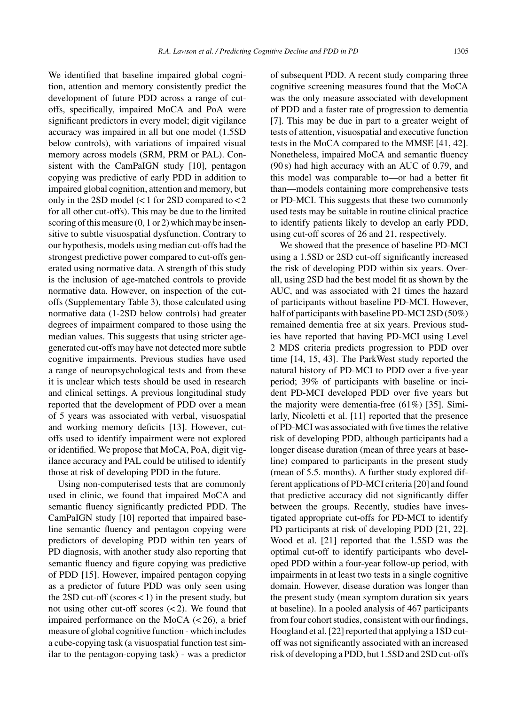We identified that baseline impaired global cognition, attention and memory consistently predict the development of future PDD across a range of cutoffs, specifically, impaired MoCA and PoA were significant predictors in every model; digit vigilance accuracy was impaired in all but one model (1.5SD below controls), with variations of impaired visual memory across models (SRM, PRM or PAL). Consistent with the CamPaIGN study [10], pentagon copying was predictive of early PDD in addition to impaired global cognition, attention and memory, but only in the 2SD model (< 1 for 2SD compared to < 2 for all other cut-offs). This may be due to the limited scoring of this measure (0, 1 or 2) which may be insensitive to subtle visuospatial dysfunction. Contrary to our hypothesis, models using median cut-offs had the strongest predictive power compared to cut-offs generated using normative data. A strength of this study is the inclusion of age-matched controls to provide normative data. However, on inspection of the cutoffs (Supplementary Table 3), those calculated using normative data (1-2SD below controls) had greater degrees of impairment compared to those using the median values. This suggests that using stricter agegenerated cut-offs may have not detected more subtle cognitive impairments. Previous studies have used a range of neuropsychological tests and from these it is unclear which tests should be used in research and clinical settings. A previous longitudinal study reported that the development of PDD over a mean of 5 years was associated with verbal, visuospatial and working memory deficits [13]. However, cutoffs used to identify impairment were not explored or identified. We propose that MoCA, PoA, digit vigilance accuracy and PAL could be utilised to identify those at risk of developing PDD in the future.

Using non-computerised tests that are commonly used in clinic, we found that impaired MoCA and semantic fluency significantly predicted PDD. The CamPaIGN study [10] reported that impaired baseline semantic fluency and pentagon copying were predictors of developing PDD within ten years of PD diagnosis, with another study also reporting that semantic fluency and figure copying was predictive of PDD [15]. However, impaired pentagon copying as a predictor of future PDD was only seen using the 2SD cut-off (scores  $<$  1) in the present study, but not using other cut-off scores (< 2). We found that impaired performance on the MoCA  $(< 26)$ , a brief measure of global cognitive function - which includes a cube-copying task (a visuospatial function test similar to the pentagon-copying task) - was a predictor

of subsequent PDD. A recent study comparing three cognitive screening measures found that the MoCA was the only measure associated with development of PDD and a faster rate of progression to dementia [7]. This may be due in part to a greater weight of tests of attention, visuospatial and executive function tests in the MoCA compared to the MMSE [41, 42]. Nonetheless, impaired MoCA and semantic fluency (90 s) had high accuracy with an AUC of 0.79, and this model was comparable to—or had a better fit than—models containing more comprehensive tests or PD-MCI. This suggests that these two commonly used tests may be suitable in routine clinical practice to identify patients likely to develop an early PDD, using cut-off scores of 26 and 21, respectively.

We showed that the presence of baseline PD-MCI using a 1.5SD or 2SD cut-off significantly increased the risk of developing PDD within six years. Overall, using 2SD had the best model fit as shown by the AUC, and was associated with 21 times the hazard of participants without baseline PD-MCI. However, half of participants with baseline PD-MCI 2SD (50%) remained dementia free at six years. Previous studies have reported that having PD-MCI using Level 2 MDS criteria predicts progression to PDD over time [14, 15, 43]. The ParkWest study reported the natural history of PD-MCI to PDD over a five-year period; 39% of participants with baseline or incident PD-MCI developed PDD over five years but the majority were dementia-free (61%) [35]. Similarly, Nicoletti et al. [11] reported that the presence of PD-MCI was associated with five times the relative risk of developing PDD, although participants had a longer disease duration (mean of three years at baseline) compared to participants in the present study (mean of 5.5. months). A further study explored different applications of PD-MCI criteria [20] and found that predictive accuracy did not significantly differ between the groups. Recently, studies have investigated appropriate cut-offs for PD-MCI to identify PD participants at risk of developing PDD [21, 22]. Wood et al. [21] reported that the 1.5SD was the optimal cut-off to identify participants who developed PDD within a four-year follow-up period, with impairments in at least two tests in a single cognitive domain. However, disease duration was longer than the present study (mean symptom duration six years at baseline). In a pooled analysis of 467 participants from four cohort studies, consistent with our findings, Hoogland et al. [22] reported that applying a 1SD cutoff was not significantly associated with an increased risk of developing a PDD, but 1.5SD and 2SD cut-offs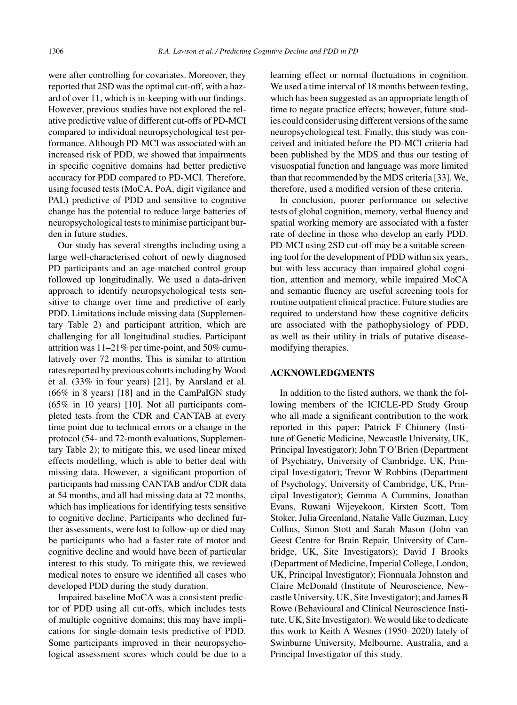were after controlling for covariates. Moreover, they reported that 2SD was the optimal cut-off, with a hazard of over 11, which is in-keeping with our findings. However, previous studies have not explored the relative predictive value of different cut-offs of PD-MCI compared to individual neuropsychological test performance. Although PD-MCI was associated with an increased risk of PDD, we showed that impairments in specific cognitive domains had better predictive accuracy for PDD compared to PD-MCI. Therefore, using focused tests (MoCA, PoA, digit vigilance and PAL) predictive of PDD and sensitive to cognitive change has the potential to reduce large batteries of neuropsychological tests to minimise participant burden in future studies.

Our study has several strengths including using a large well-characterised cohort of newly diagnosed PD participants and an age-matched control group followed up longitudinally. We used a data-driven approach to identify neuropsychological tests sensitive to change over time and predictive of early PDD. Limitations include missing data (Supplementary Table 2) and participant attrition, which are challenging for all longitudinal studies. Participant attrition was 11–21% per time-point, and 50% cumulatively over 72 months. This is similar to attrition rates reported by previous cohorts including by Wood et al. (33% in four years) [21], by Aarsland et al. (66% in 8 years) [18] and in the CamPaIGN study (65% in 10 years) [10]. Not all participants completed tests from the CDR and CANTAB at every time point due to technical errors or a change in the protocol (54- and 72-month evaluations, Supplementary Table 2); to mitigate this, we used linear mixed effects modelling, which is able to better deal with missing data. However, a significant proportion of participants had missing CANTAB and/or CDR data at 54 months, and all had missing data at 72 months, which has implications for identifying tests sensitive to cognitive decline. Participants who declined further assessments, were lost to follow-up or died may be participants who had a faster rate of motor and cognitive decline and would have been of particular interest to this study. To mitigate this, we reviewed medical notes to ensure we identified all cases who developed PDD during the study duration.

Impaired baseline MoCA was a consistent predictor of PDD using all cut-offs, which includes tests of multiple cognitive domains; this may have implications for single-domain tests predictive of PDD. Some participants improved in their neuropsychological assessment scores which could be due to a learning effect or normal fluctuations in cognition. We used a time interval of 18 months between testing, which has been suggested as an appropriate length of time to negate practice effects; however, future studies could consider using different versions of the same neuropsychological test. Finally, this study was conceived and initiated before the PD-MCI criteria had been published by the MDS and thus our testing of visuospatial function and language was more limited than that recommended by the MDS criteria [33]. We, therefore, used a modified version of these criteria.

In conclusion, poorer performance on selective tests of global cognition, memory, verbal fluency and spatial working memory are associated with a faster rate of decline in those who develop an early PDD. PD-MCI using 2SD cut-off may be a suitable screening tool for the development of PDD within six years, but with less accuracy than impaired global cognition, attention and memory, while impaired MoCA and semantic fluency are useful screening tools for routine outpatient clinical practice. Future studies are required to understand how these cognitive deficits are associated with the pathophysiology of PDD, as well as their utility in trials of putative diseasemodifying therapies.

#### **ACKNOWLEDGMENTS**

In addition to the listed authors, we thank the following members of the ICICLE-PD Study Group who all made a significant contribution to the work reported in this paper: Patrick F Chinnery (Institute of Genetic Medicine, Newcastle University, UK, Principal Investigator); John T O'Brien (Department of Psychiatry, University of Cambridge, UK, Principal Investigator); Trevor W Robbins (Department of Psychology, University of Cambridge, UK, Principal Investigator); Gemma A Cummins, Jonathan Evans, Ruwani Wijeyekoon, Kirsten Scott, Tom Stoker, Julia Greenland, Natalie Valle Guzman, Lucy Collins, Simon Stott and Sarah Mason (John van Geest Centre for Brain Repair, University of Cambridge, UK, Site Investigators); David J Brooks (Department of Medicine, Imperial College, London, UK, Principal Investigator); Fionnuala Johnston and Claire McDonald (Institute of Neuroscience, Newcastle University, UK, Site Investigator); and James B Rowe (Behavioural and Clinical Neuroscience Institute, UK, Site Investigator). We would like to dedicate this work to Keith A Wesnes (1950–2020) lately of Swinburne University, Melbourne, Australia, and a Principal Investigator of this study.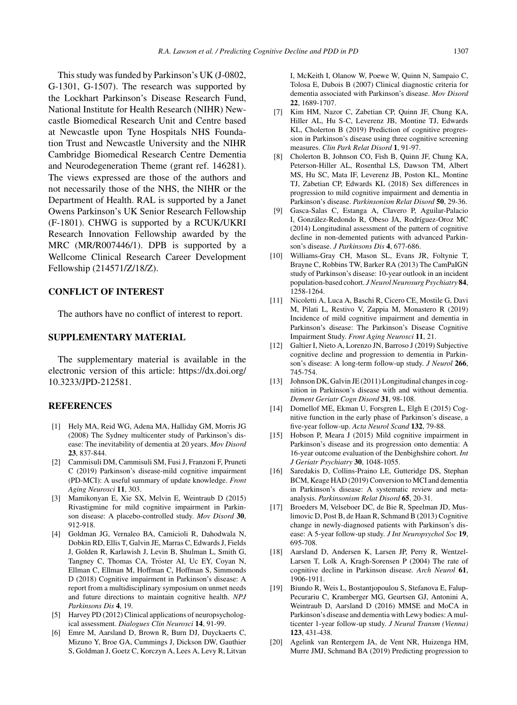This study was funded by Parkinson's UK (J-0802, G-1301, G-1507). The research was supported by the Lockhart Parkinson's Disease Research Fund, National Institute for Health Research (NIHR) Newcastle Biomedical Research Unit and Centre based at Newcastle upon Tyne Hospitals NHS Foundation Trust and Newcastle University and the NIHR Cambridge Biomedical Research Centre Dementia and Neurodegeneration Theme (grant ref. 146281). The views expressed are those of the authors and not necessarily those of the NHS, the NIHR or the Department of Health. RAL is supported by a Janet Owens Parkinson's UK Senior Research Fellowship (F-1801). CHWG is supported by a RCUK/UKRI Research Innovation Fellowship awarded by the MRC (MR/R007446/1). DPB is supported by a Wellcome Clinical Research Career Development Fellowship (214571/Z/18/Z).

# **CONFLICT OF INTEREST**

The authors have no conflict of interest to report.

# **SUPPLEMENTARY MATERIAL**

The supplementary material is available in the electronic version of this article: [https://dx.doi.org/](https://dx.doi.org/10.3233/JPD-212581) 10.3233/JPD-212581.

# **REFERENCES**

- [1] Hely MA, Reid WG, Adena MA, Halliday GM, Morris JG (2008) The Sydney multicenter study of Parkinson's disease: The inevitability of dementia at 20 years. *Mov Disord* **23**, 837-844.
- [2] Cammisuli DM, Cammisuli SM, Fusi J, Franzoni F, Pruneti C (2019) Parkinson's disease-mild cognitive impairment (PD-MCI): A useful summary of update knowledge. *Front Aging Neurosci* **11**, 303.
- [3] Mamikonyan E, Xie SX, Melvin E, Weintraub D (2015) Rivastigmine for mild cognitive impairment in Parkinson disease: A placebo-controlled study. *Mov Disord* **30**, 912-918.
- [4] Goldman JG, Vernaleo BA, Camicioli R, Dahodwala N, Dobkin RD, Ellis T, Galvin JE, Marras C, Edwards J, Fields J, Golden R, Karlawish J, Levin B, Shulman L, Smith G, Tangney C, Thomas CA, Tröster AI, Uc EY, Coyan N, Ellman C, Ellman M, Hoffman C, Hoffman S, Simmonds D (2018) Cognitive impairment in Parkinson's disease: A report from a multidisciplinary symposium on unmet needs and future directions to maintain cognitive health. *NPJ Parkinsons Dis* **4**, 19.
- [5] Harvey PD (2012) Clinical applications of neuropsychological assessment. *Dialogues Clin Neurosci* **14**, 91-99.
- [6] Emre M, Aarsland D, Brown R, Burn DJ, Duyckaerts C, Mizuno Y, Broe GA, Cummings J, Dickson DW, Gauthier S, Goldman J, Goetz C, Korczyn A, Lees A, Levy R, Litvan

I, McKeith I, Olanow W, Poewe W, Quinn N, Sampaio C, Tolosa E, Dubois B (2007) Clinical diagnostic criteria for dementia associated with Parkinson's disease. *Mov Disord* **22**, 1689-1707.

- [7] Kim HM, Nazor C, Zabetian CP, Quinn JF, Chung KA, Hiller AL, Hu S-C, Leverenz JB, Montine TJ, Edwards KL, Cholerton B (2019) Prediction of cognitive progression in Parkinson's disease using three cognitive screening measures. *Clin Park Relat Disord* **1**, 91-97.
- [8] Cholerton B, Johnson CO, Fish B, Quinn JF, Chung KA, Peterson-Hiller AL, Rosenthal LS, Dawson TM, Albert MS, Hu SC, Mata IF, Leverenz JB, Poston KL, Montine TJ, Zabetian CP, Edwards KL (2018) Sex differences in progression to mild cognitive impairment and dementia in Parkinson's disease. *Parkinsonism Relat Disord* **50**, 29-36.
- [9] Gasca-Salas C, Estanga A, Clavero P, Aguilar-Palacio I, González-Redondo R, Obeso JA, Rodríguez-Oroz MC (2014) Longitudinal assessment of the pattern of cognitive decline in non-demented patients with advanced Parkinson's disease. *J Parkinsons Dis* **4**, 677-686.
- [10] Williams-Gray CH, Mason SL, Evans JR, Foltynie T, Brayne C, Robbins TW, Barker RA (2013) The CamPaIGN study of Parkinson's disease: 10-year outlook in an incident population-based cohort. *J Neurol Neurosurg Psychiatry* **84**, 1258-1264.
- [11] Nicoletti A, Luca A, Baschi R, Cicero CE, Mostile G, Davi M, Pilati L, Restivo V, Zappia M, Monastero R (2019) Incidence of mild cognitive impairment and dementia in Parkinson's disease: The Parkinson's Disease Cognitive Impairment Study. *Front Aging Neurosci* **11**, 21.
- [12] Galtier I, Nieto A, Lorenzo JN, Barroso J (2019) Subjective cognitive decline and progression to dementia in Parkinson's disease: A long-term follow-up study. *J Neurol* **266**, 745-754.
- [13] Johnson DK, Galvin JE (2011) Longitudinal changes in cognition in Parkinson's disease with and without dementia. *Dement Geriatr Cogn Disord* **31**, 98-108.
- [14] Domellof ME, Ekman U, Forsgren L, Elgh E (2015) Cognitive function in the early phase of Parkinson's disease, a five-year follow-up. *Acta Neurol Scand* **132**, 79-88.
- [15] Hobson P, Meara J (2015) Mild cognitive impairment in Parkinson's disease and its progression onto dementia: A 16-year outcome evaluation of the Denbighshire cohort. *Int J Geriatr Psychiatry* **30**, 1048-1055.
- [16] Saredakis D, Collins-Praino LE, Gutteridge DS, Stephan BCM, Keage HAD (2019) Conversion to MCI and dementia in Parkinson's disease: A systematic review and metaanalysis. *Parkinsonism Relat Disord* **65**, 20-31.
- [17] Broeders M, Velseboer DC, de Bie R, Speelman JD, Muslimovic D, Post B, de Haan R, Schmand B (2013) Cognitive change in newly-diagnosed patients with Parkinson's disease: A 5-year follow-up study. *J Int Neuropsychol Soc* **19**, 695-708.
- [18] Aarsland D, Andersen K, Larsen JP, Perry R, Wentzel-Larsen T, Lolk A, Kragh-Sorensen P (2004) The rate of cognitive decline in Parkinson disease. *Arch Neurol* **61**, 1906-1911.
- [19] Biundo R, Weis L, Bostantjopoulou S, Stefanova E, Falup-Pecurariu C, Kramberger MG, Geurtsen GJ, Antonini A, Weintraub D, Aarsland D (2016) MMSE and MoCA in Parkinson's disease and dementia with Lewy bodies: A multicenter 1-year follow-up study. *J Neural Transm (Vienna)* **123**, 431-438.
- [20] Agelink van Rentergem JA, de Vent NR, Huizenga HM, Murre JMJ, Schmand BA (2019) Predicting progression to